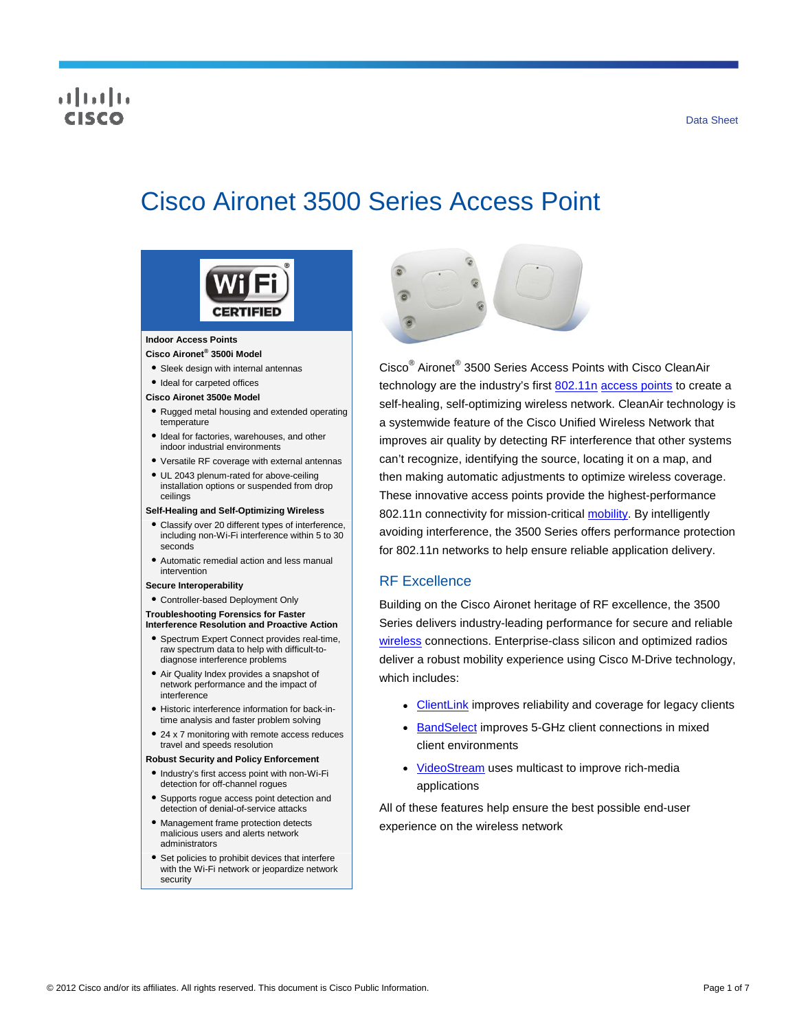### Data Sheet

## ahah risce

# Cisco Aironet 3500 Series Access Point



#### **Indoor Access Points**

- **Cisco Aironet® 3500i Model**
- Sleek design with internal antennas

#### ● Ideal for carpeted offices

- **Cisco Aironet 3500e Model**
- Rugged metal housing and extended operating temperature
- Ideal for factories, warehouses, and other indoor industrial environments
- Versatile RF coverage with external antennas
- UL 2043 plenum-rated for above-ceiling installation options or suspended from drop ceilings

#### **Self-Healing and Self-Optimizing Wireless**

- Classify over 20 different types of interference, including non-Wi-Fi interference within 5 to 30 seconds
- Automatic remedial action and less manual intervention

#### **Secure Interoperability**

● Controller-based Deployment Only

#### **Troubleshooting Forensics for Faster Interference Resolution and Proactive Action**

- Spectrum Expert Connect provides real-time, raw spectrum data to help with difficult-todiagnose interference problems
- Air Quality Index provides a snapshot of network performance and the impact of interference
- Historic interference information for back-intime analysis and faster problem solving
- 24 x 7 monitoring with remote access reduces travel and speeds resolution

#### **Robust Security and Policy Enforcement**

- Industry's first access point with non-Wi-Fi detection for off-channel rogues
- Supports rogue access point detection and detection of denial-of-service attacks
- Management frame protection detects malicious users and alerts network administrators
- Set policies to prohibit devices that interfere with the Wi-Fi network or jeopardize network security



Cisco® Aironet® 3500 Series Access Points with Cisco CleanAir technology are the industry's first [802.11n](http://www.cisco.com/en/US/netsol/ns767/networking_solutions_package.html) [access points](http://www.cisco.com/en/US/products/ps5678/Products_Sub_Category_Home.html) to create a self-healing, self-optimizing wireless network. CleanAir technology is a systemwide feature of the Cisco Unified Wireless Network that improves air quality by detecting RF interference that other systems can't recognize, identifying the source, locating it on a map, and then making automatic adjustments to optimize wireless coverage. These innovative access points provide the highest-performance 802.11n connectivity for mission-critical [mobility.](http://www.cisco.com/en/US/netsol/ns175/networking_solutions_solution_segment_home.html) By intelligently avoiding interference, the 3500 Series offers performance protection for 802.11n networks to help ensure reliable application delivery.

## RF Excellence

Building on the Cisco Aironet heritage of RF excellence, the 3500 Series delivers industry-leading performance for secure and reliable [wireless](http://www.cisco.com/en/US/products/hw/wireless/index.html) connections. Enterprise-class silicon and optimized radios deliver a robust mobility experience using Cisco M-Drive technology, which includes:

- [ClientLink](http://www.cisco.com/en/US/prod/collateral/wireless/ps5678/ps10092/white_paper_c11-516389_ps6973_Products_White_Paper.html) improves reliability and coverage for legacy clients
- [BandSelect](http://tools.cisco.com/search/display?url=http%3A%2F%2Fwww.cisco.com%2Fen%2FUS%2Fsolutions%2Fcollateral%2Fns340%2Fns394%2Fns348%2Fns767%2Fratification_checklist_brochure_c11-557441.pdf&pos=3&strqueryid=&websessionid=5BOoKz2Ehg3v5ZxCTF_lc55) improves 5-GHz client connections in mixed client environments
- [VideoStream](http://www.cisco.com/en/US/prod/collateral/wireless/ps6302/ps8322/ps10315/ps10325/white_paper_c11-577721.html) uses multicast to improve rich-media applications

All of these features help ensure the best possible end-user experience on the wireless network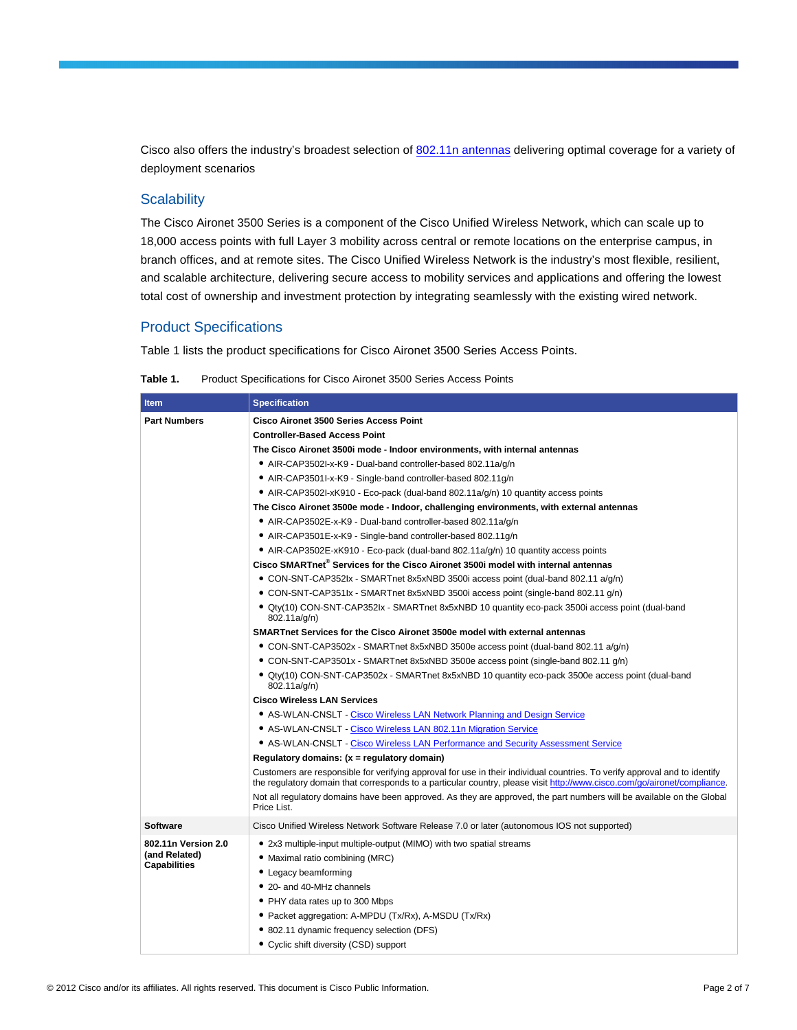Cisco also offers the industry's broadest selection of [802.11n antennas](http://www.cisco.com/en/US/prod/collateral/wireless/ps7183/ps469/at_a_glance_c45-513837.pdf) delivering optimal coverage for a variety of deployment scenarios

## **Scalability**

The Cisco Aironet 3500 Series is a component of the Cisco Unified Wireless Network, which can scale up to 18,000 access points with full Layer 3 mobility across central or remote locations on the enterprise campus, in branch offices, and at remote sites. The Cisco Unified Wireless Network is the industry's most flexible, resilient, and scalable architecture, delivering secure access to mobility services and applications and offering the lowest total cost of ownership and investment protection by integrating seamlessly with the existing wired network.

## Product Specifications

Table 1 lists the product specifications for Cisco Aironet 3500 Series Access Points.

| Table 1. | Product Specifications for Cisco Aironet 3500 Series Access Points |
|----------|--------------------------------------------------------------------|
|----------|--------------------------------------------------------------------|

| <b>Item</b>                                                 | <b>Specification</b>                                                                                                                                                                                                                                                                                  |  |  |
|-------------------------------------------------------------|-------------------------------------------------------------------------------------------------------------------------------------------------------------------------------------------------------------------------------------------------------------------------------------------------------|--|--|
| <b>Part Numbers</b>                                         | <b>Cisco Aironet 3500 Series Access Point</b>                                                                                                                                                                                                                                                         |  |  |
|                                                             | <b>Controller-Based Access Point</b>                                                                                                                                                                                                                                                                  |  |  |
|                                                             | The Cisco Aironet 3500i mode - Indoor environments, with internal antennas                                                                                                                                                                                                                            |  |  |
|                                                             | • AIR-CAP3502I-x-K9 - Dual-band controller-based 802.11a/q/n                                                                                                                                                                                                                                          |  |  |
|                                                             | • AIR-CAP3501I-x-K9 - Single-band controller-based 802.11g/n                                                                                                                                                                                                                                          |  |  |
|                                                             | • AIR-CAP3502I-xK910 - Eco-pack (dual-band 802.11a/g/n) 10 quantity access points                                                                                                                                                                                                                     |  |  |
|                                                             | The Cisco Aironet 3500e mode - Indoor, challenging environments, with external antennas                                                                                                                                                                                                               |  |  |
|                                                             | • AIR-CAP3502E-x-K9 - Dual-band controller-based 802.11a/g/n                                                                                                                                                                                                                                          |  |  |
|                                                             | • AIR-CAP3501E-x-K9 - Single-band controller-based 802.11g/n                                                                                                                                                                                                                                          |  |  |
|                                                             | • AIR-CAP3502E-xK910 - Eco-pack (dual-band 802.11a/g/n) 10 quantity access points                                                                                                                                                                                                                     |  |  |
|                                                             | Cisco SMARTnet <sup>®</sup> Services for the Cisco Aironet 3500i model with internal antennas                                                                                                                                                                                                         |  |  |
|                                                             | • CON-SNT-CAP352lx - SMARTnet 8x5xNBD 3500i access point (dual-band 802.11 a/q/n)                                                                                                                                                                                                                     |  |  |
|                                                             | • CON-SNT-CAP351lx - SMARTnet 8x5xNBD 3500i access point (single-band 802.11 g/n)                                                                                                                                                                                                                     |  |  |
|                                                             | • Qty(10) CON-SNT-CAP352lx - SMARTnet 8x5xNBD 10 quantity eco-pack 3500i access point (dual-band<br>802.11a/g/n)                                                                                                                                                                                      |  |  |
|                                                             | SMARTnet Services for the Cisco Aironet 3500e model with external antennas                                                                                                                                                                                                                            |  |  |
|                                                             | • CON-SNT-CAP3502x - SMARTnet 8x5xNBD 3500e access point (dual-band 802.11 a/g/n)                                                                                                                                                                                                                     |  |  |
|                                                             | • CON-SNT-CAP3501x - SMARTnet 8x5xNBD 3500e access point (single-band 802.11 g/n)                                                                                                                                                                                                                     |  |  |
|                                                             | • Qty(10) CON-SNT-CAP3502x - SMARTnet 8x5xNBD 10 quantity eco-pack 3500e access point (dual-band<br>802.11a/g/n)                                                                                                                                                                                      |  |  |
|                                                             | <b>Cisco Wireless LAN Services</b>                                                                                                                                                                                                                                                                    |  |  |
|                                                             | • AS-WLAN-CNSLT - Cisco Wireless LAN Network Planning and Design Service                                                                                                                                                                                                                              |  |  |
|                                                             | • AS-WLAN-CNSLT - Cisco Wireless LAN 802.11n Migration Service                                                                                                                                                                                                                                        |  |  |
|                                                             | • AS-WLAN-CNSLT - Cisco Wireless LAN Performance and Security Assessment Service                                                                                                                                                                                                                      |  |  |
|                                                             | Regulatory domains: (x = regulatory domain)                                                                                                                                                                                                                                                           |  |  |
|                                                             | Customers are responsible for verifying approval for use in their individual countries. To verify approval and to identify<br>the regulatory domain that corresponds to a particular country, please visit http://www.cisco.com/go/aironet/compliance.                                                |  |  |
|                                                             | Not all regulatory domains have been approved. As they are approved, the part numbers will be available on the Global<br>Price List.                                                                                                                                                                  |  |  |
| <b>Software</b>                                             | Cisco Unified Wireless Network Software Release 7.0 or later (autonomous IOS not supported)                                                                                                                                                                                                           |  |  |
| 802.11n Version 2.0<br>(and Related)<br><b>Capabilities</b> | • 2x3 multiple-input multiple-output (MIMO) with two spatial streams<br>• Maximal ratio combining (MRC)<br>• Legacy beamforming<br>• 20- and 40-MHz channels<br>• PHY data rates up to 300 Mbps<br>• Packet aggregation: A-MPDU (Tx/Rx), A-MSDU (Tx/Rx)<br>• 802.11 dynamic frequency selection (DFS) |  |  |
|                                                             | • Cyclic shift diversity (CSD) support                                                                                                                                                                                                                                                                |  |  |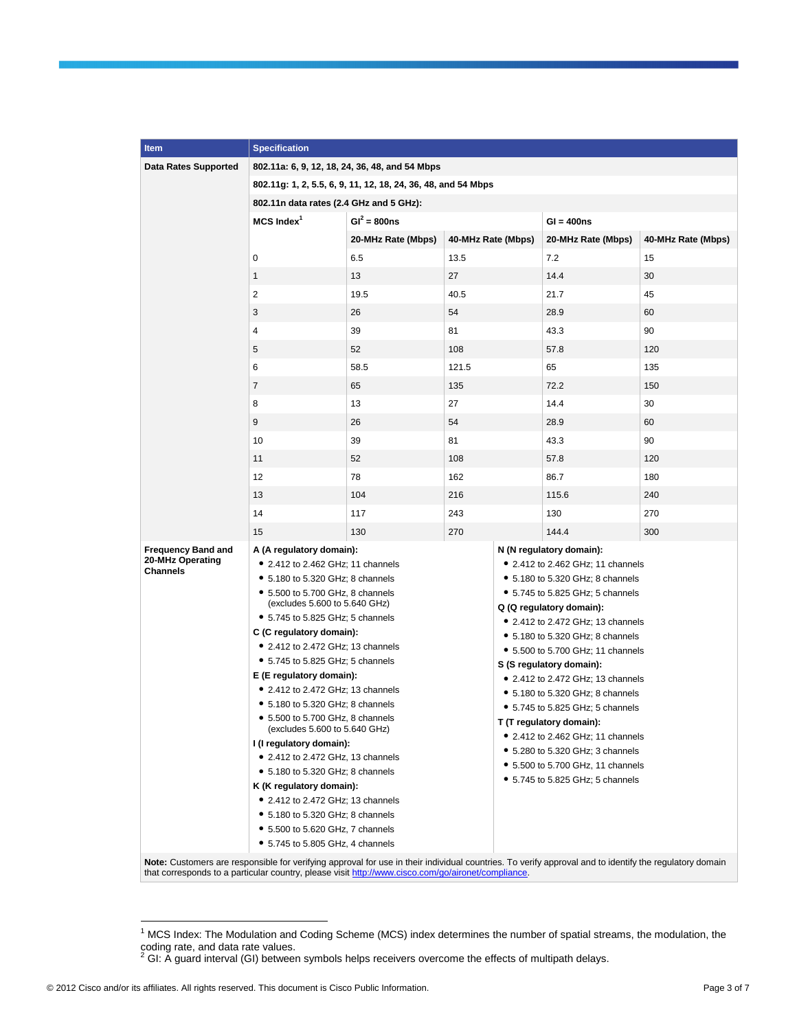| Item                                                                                                                                                    | <b>Specification</b>                                                 |                                                |                                  |                                                                       |                    |                    |  |
|---------------------------------------------------------------------------------------------------------------------------------------------------------|----------------------------------------------------------------------|------------------------------------------------|----------------------------------|-----------------------------------------------------------------------|--------------------|--------------------|--|
| <b>Data Rates Supported</b>                                                                                                                             |                                                                      | 802.11a: 6, 9, 12, 18, 24, 36, 48, and 54 Mbps |                                  |                                                                       |                    |                    |  |
|                                                                                                                                                         | 802.11g: 1, 2, 5.5, 6, 9, 11, 12, 18, 24, 36, 48, and 54 Mbps        |                                                |                                  |                                                                       |                    |                    |  |
|                                                                                                                                                         | 802.11n data rates (2.4 GHz and 5 GHz):                              |                                                |                                  |                                                                       |                    |                    |  |
|                                                                                                                                                         | $MCS$ Index $1$                                                      | $GI^2 = 800ns$                                 |                                  |                                                                       | $GI = 400ns$       |                    |  |
|                                                                                                                                                         |                                                                      | 20-MHz Rate (Mbps)                             | 40-MHz Rate (Mbps)               |                                                                       | 20-MHz Rate (Mbps) | 40-MHz Rate (Mbps) |  |
|                                                                                                                                                         | 0                                                                    | 6.5                                            | 13.5                             |                                                                       | 7.2                | 15                 |  |
|                                                                                                                                                         | $\mathbf{1}$                                                         | 13                                             | 27                               |                                                                       | 14.4               | 30                 |  |
|                                                                                                                                                         | $\overline{2}$                                                       | 19.5                                           | 40.5                             |                                                                       | 21.7               | 45                 |  |
|                                                                                                                                                         |                                                                      |                                                |                                  |                                                                       |                    |                    |  |
|                                                                                                                                                         | 3                                                                    | 26                                             | 54                               |                                                                       | 28.9               | 60                 |  |
|                                                                                                                                                         | 4                                                                    | 39                                             | 81                               |                                                                       | 43.3               | 90                 |  |
|                                                                                                                                                         | 5                                                                    | 52                                             | 108                              |                                                                       | 57.8               | 120                |  |
|                                                                                                                                                         | 6                                                                    | 58.5                                           | 121.5                            |                                                                       | 65                 | 135                |  |
|                                                                                                                                                         | $\overline{7}$                                                       | 65                                             | 135                              |                                                                       | 72.2               | 150                |  |
|                                                                                                                                                         | 8                                                                    | 13                                             | 27                               |                                                                       | 14.4               | 30                 |  |
|                                                                                                                                                         | 9                                                                    | 26                                             | 54                               |                                                                       | 28.9               | 60                 |  |
|                                                                                                                                                         | 10                                                                   | 39                                             | 81                               |                                                                       | 43.3               | 90                 |  |
|                                                                                                                                                         | 11                                                                   | 52                                             | 108                              |                                                                       | 57.8               | 120                |  |
|                                                                                                                                                         | 12                                                                   | 78                                             | 162                              |                                                                       | 86.7               | 180                |  |
|                                                                                                                                                         | 13                                                                   | 104                                            | 216                              |                                                                       | 115.6              | 240                |  |
|                                                                                                                                                         | 14                                                                   | 117                                            | 243                              |                                                                       | 130                | 270                |  |
|                                                                                                                                                         |                                                                      |                                                |                                  |                                                                       |                    |                    |  |
|                                                                                                                                                         | 15                                                                   | 130                                            | 270                              |                                                                       | 144.4              | 300                |  |
| <b>Frequency Band and</b><br>20-MHz Operating                                                                                                           | A (A regulatory domain):<br>• 2.412 to 2.462 GHz; 11 channels        |                                                |                                  | N (N regulatory domain):<br>• 2.412 to 2.462 GHz; 11 channels         |                    |                    |  |
| <b>Channels</b>                                                                                                                                         | • 5.180 to 5.320 GHz; 8 channels                                     |                                                |                                  | • 5.180 to 5.320 GHz; 8 channels                                      |                    |                    |  |
|                                                                                                                                                         | $\bullet$ 5.500 to 5.700 GHz, 8 channels                             |                                                | • 5.745 to 5.825 GHz; 5 channels |                                                                       |                    |                    |  |
|                                                                                                                                                         | (excludes 5.600 to 5.640 GHz)                                        |                                                |                                  | Q (Q regulatory domain):                                              |                    |                    |  |
|                                                                                                                                                         | • 5.745 to 5.825 GHz; 5 channels                                     |                                                |                                  | • 2.412 to 2.472 GHz; 13 channels                                     |                    |                    |  |
|                                                                                                                                                         | C (C regulatory domain):<br>• 2.412 to 2.472 GHz; 13 channels        |                                                |                                  | • 5.180 to 5.320 GHz; 8 channels                                      |                    |                    |  |
|                                                                                                                                                         | • 5.745 to 5.825 GHz; 5 channels                                     |                                                |                                  | • 5.500 to 5.700 GHz; 11 channels                                     |                    |                    |  |
|                                                                                                                                                         | E (E regulatory domain):                                             |                                                |                                  | S (S regulatory domain):<br>• 2.412 to 2.472 GHz; 13 channels         |                    |                    |  |
|                                                                                                                                                         | • 2.412 to 2.472 GHz; 13 channels                                    |                                                |                                  | • 5.180 to 5.320 GHz; 8 channels                                      |                    |                    |  |
|                                                                                                                                                         | $\bullet$ 5.180 to 5.320 GHz; 8 channels                             |                                                |                                  | • 5.745 to 5.825 GHz; 5 channels                                      |                    |                    |  |
|                                                                                                                                                         | • 5.500 to 5.700 GHz, 8 channels<br>(excludes 5.600 to 5.640 GHz)    |                                                |                                  | T (T regulatory domain):                                              |                    |                    |  |
|                                                                                                                                                         | I (I regulatory domain):                                             |                                                |                                  | • 2.412 to 2.462 GHz; 11 channels                                     |                    |                    |  |
|                                                                                                                                                         | • 2.412 to 2.472 GHz, 13 channels                                    |                                                |                                  | • 5.280 to 5.320 GHz; 3 channels                                      |                    |                    |  |
|                                                                                                                                                         | • 5.180 to 5.320 GHz; 8 channels                                     |                                                |                                  | • 5.500 to 5.700 GHz, 11 channels<br>• 5.745 to 5.825 GHz; 5 channels |                    |                    |  |
|                                                                                                                                                         | K (K regulatory domain):                                             |                                                |                                  |                                                                       |                    |                    |  |
|                                                                                                                                                         | • 2.412 to 2.472 GHz; 13 channels                                    |                                                |                                  |                                                                       |                    |                    |  |
|                                                                                                                                                         | • 5.180 to 5.320 GHz; 8 channels                                     |                                                |                                  |                                                                       |                    |                    |  |
|                                                                                                                                                         | • 5.500 to 5.620 GHz, 7 channels<br>• 5.745 to 5.805 GHz, 4 channels |                                                |                                  |                                                                       |                    |                    |  |
| Note: Customers are responsible for verifying approval for use in their individual countries. To verify approval and to identify the requisitory domain |                                                                      |                                                |                                  |                                                                       |                    |                    |  |

**Note:** Customers are responsible for verifying approval for use in their individual countries. To verify approval and to identify the regulatory domain that corresponds to a particular country, please visit<http://www.cisco.com/go/aironet/compliance>.

 1 MCS Index: The Modulation and Coding Scheme (MCS) index determines the number of spatial streams, the modulation, the coding rate, and data rate values.<br><sup>2</sup> GI: A guard interval (GI) between symbols helps receivers overcome the effects of multipath delays.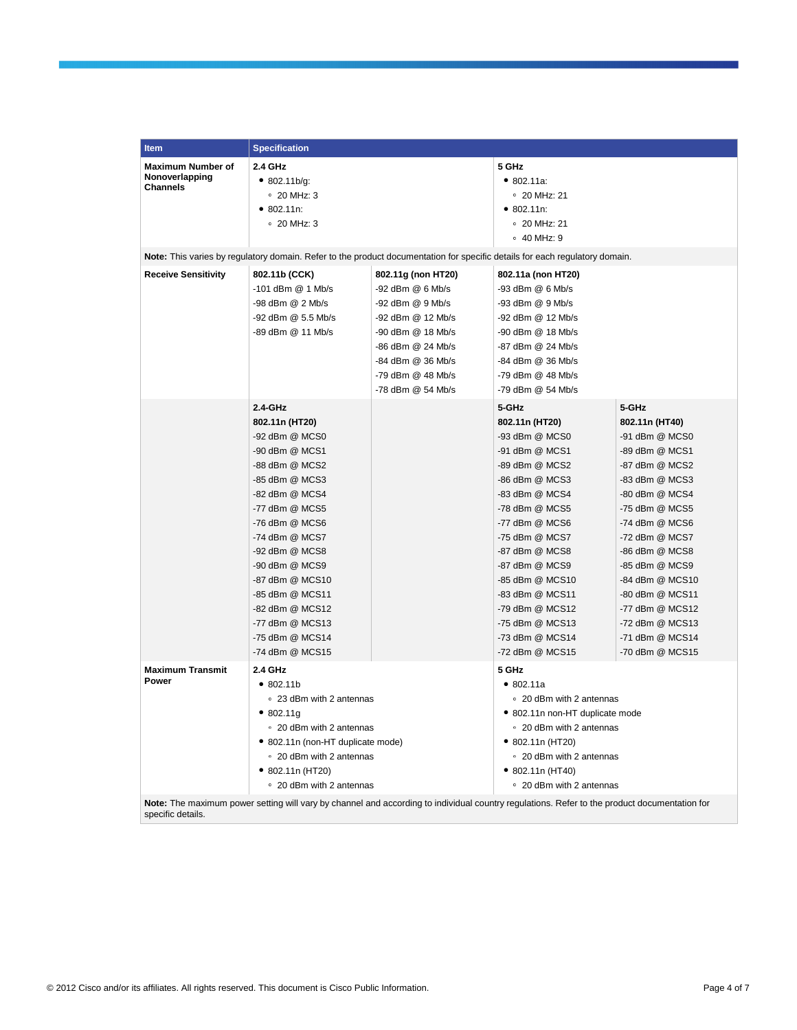| <b>Item</b>                                                   | <b>Specification</b>                                                                                                                                                                                                                                                                                                                                              |                                                                                                                                                                                          |                                                                                                                                                                                                                                                                                                                               |                                                                                                                                                                                                                                                                                                                               |
|---------------------------------------------------------------|-------------------------------------------------------------------------------------------------------------------------------------------------------------------------------------------------------------------------------------------------------------------------------------------------------------------------------------------------------------------|------------------------------------------------------------------------------------------------------------------------------------------------------------------------------------------|-------------------------------------------------------------------------------------------------------------------------------------------------------------------------------------------------------------------------------------------------------------------------------------------------------------------------------|-------------------------------------------------------------------------------------------------------------------------------------------------------------------------------------------------------------------------------------------------------------------------------------------------------------------------------|
| <b>Maximum Number of</b><br>Nonoverlapping<br><b>Channels</b> | 2.4 GHz<br>• 802.11b/g:<br>$\degree$ 20 MHz: 3<br>• 802.11n:<br>$\degree$ 20 MHz: 3                                                                                                                                                                                                                                                                               |                                                                                                                                                                                          | 5 GHz<br>• 802.11a.<br>$\degree$ 20 MHz: 21<br>• 802.11n:<br>$\degree$ 20 MHz: 21<br>∘ 40 MHz: 9                                                                                                                                                                                                                              |                                                                                                                                                                                                                                                                                                                               |
|                                                               | Note: This varies by regulatory domain. Refer to the product documentation for specific details for each regulatory domain.                                                                                                                                                                                                                                       |                                                                                                                                                                                          |                                                                                                                                                                                                                                                                                                                               |                                                                                                                                                                                                                                                                                                                               |
| <b>Receive Sensitivity</b>                                    | 802.11b (CCK)<br>$-101$ dBm $@$ 1 Mb/s<br>-98 dBm @ 2 Mb/s<br>-92 dBm @ 5.5 Mb/s<br>-89 dBm @ 11 Mb/s                                                                                                                                                                                                                                                             | 802.11g (non HT20)<br>-92 dBm @ 6 Mb/s<br>-92 dBm @ 9 Mb/s<br>-92 dBm @ 12 Mb/s<br>-90 dBm @ 18 Mb/s<br>-86 dBm @ 24 Mb/s<br>-84 dBm @ 36 Mb/s<br>-79 dBm @ 48 Mb/s<br>-78 dBm @ 54 Mb/s | 802.11a (non HT20)<br>-93 dBm @ 6 Mb/s<br>-93 dBm @ 9 Mb/s<br>-92 dBm @ 12 Mb/s<br>-90 dBm @ 18 Mb/s<br>-87 dBm @ 24 Mb/s<br>-84 dBm @ 36 Mb/s<br>-79 dBm @ 48 Mb/s<br>-79 dBm @ 54 Mb/s                                                                                                                                      |                                                                                                                                                                                                                                                                                                                               |
|                                                               | $2.4 - GHz$<br>802.11n (HT20)<br>-92 dBm @ MCS0<br>-90 dBm @ MCS1<br>-88 dBm @ MCS2<br>-85 dBm @ MCS3<br>-82 dBm @ MCS4<br>-77 dBm @ MCS5<br>-76 dBm @ MCS6<br>-74 dBm @ MCS7<br>-92 dBm @ MCS8<br>-90 dBm @ MCS9<br>-87 dBm @ MCS10<br>-85 dBm @ MCS11<br>-82 dBm @ MCS12<br>-77 dBm @ MCS13<br>-75 dBm @ MCS14<br>-74 dBm @ MCS15                               |                                                                                                                                                                                          | 5-GHz<br>802.11n (HT20)<br>-93 dBm @ MCS0<br>-91 dBm @ MCS1<br>-89 dBm @ MCS2<br>-86 dBm @ MCS3<br>-83 dBm @ MCS4<br>-78 dBm @ MCS5<br>-77 dBm @ MCS6<br>-75 dBm @ MCS7<br>-87 dBm @ MCS8<br>-87 dBm @ MCS9<br>-85 dBm @ MCS10<br>-83 dBm @ MCS11<br>-79 dBm @ MCS12<br>-75 dBm @ MCS13<br>-73 dBm @ MCS14<br>-72 dBm @ MCS15 | 5-GHz<br>802.11n (HT40)<br>-91 dBm @ MCS0<br>-89 dBm @ MCS1<br>-87 dBm @ MCS2<br>-83 dBm @ MCS3<br>-80 dBm @ MCS4<br>-75 dBm @ MCS5<br>-74 dBm @ MCS6<br>-72 dBm @ MCS7<br>-86 dBm @ MCS8<br>-85 dBm @ MCS9<br>-84 dBm @ MCS10<br>-80 dBm @ MCS11<br>-77 dBm @ MCS12<br>-72 dBm @ MCS13<br>-71 dBm @ MCS14<br>-70 dBm @ MCS15 |
| <b>Maximum Transmit</b><br>Power                              | 2.4 GHz<br>•802.11b<br>• 23 dBm with 2 antennas<br>• 802.11g<br>○ 20 dBm with 2 antennas<br>• 802.11n (non-HT duplicate mode)<br>• 20 dBm with 2 antennas<br>$\bullet$ 802.11n (HT20)<br>• 20 dBm with 2 antennas<br>Note: The maximum power setting will vary by channel and according to individual country regulations. Refer to the product documentation for |                                                                                                                                                                                          | 5 GHz<br>• 802.11a<br>• 20 dBm with 2 antennas<br>• 802.11n non-HT duplicate mode<br>○ 20 dBm with 2 antennas<br>• 802.11n (HT20)<br>• 20 dBm with 2 antennas<br>$\bullet$ 802.11n (HT40)<br>• 20 dBm with 2 antennas                                                                                                         |                                                                                                                                                                                                                                                                                                                               |

specific details.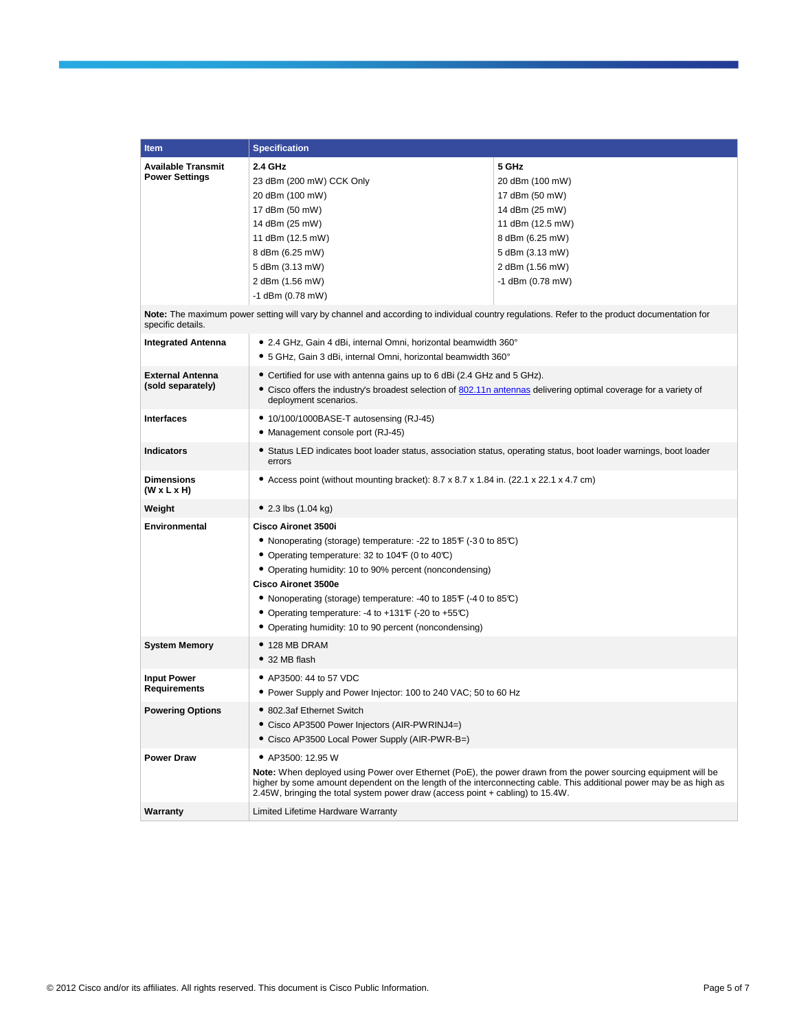| Item                                                                                                                                                              | <b>Specification</b>                                                                                                                                                                                                                                                                                                    |                  |  |  |
|-------------------------------------------------------------------------------------------------------------------------------------------------------------------|-------------------------------------------------------------------------------------------------------------------------------------------------------------------------------------------------------------------------------------------------------------------------------------------------------------------------|------------------|--|--|
| <b>Available Transmit</b>                                                                                                                                         | 2.4 GHz                                                                                                                                                                                                                                                                                                                 | 5 GHz            |  |  |
| <b>Power Settings</b>                                                                                                                                             | 23 dBm (200 mW) CCK Only                                                                                                                                                                                                                                                                                                | 20 dBm (100 mW)  |  |  |
|                                                                                                                                                                   | 20 dBm (100 mW)                                                                                                                                                                                                                                                                                                         | 17 dBm (50 mW)   |  |  |
|                                                                                                                                                                   | 17 dBm (50 mW)                                                                                                                                                                                                                                                                                                          | 14 dBm (25 mW)   |  |  |
|                                                                                                                                                                   | 14 dBm (25 mW)                                                                                                                                                                                                                                                                                                          | 11 dBm (12.5 mW) |  |  |
|                                                                                                                                                                   | 11 dBm (12.5 mW)                                                                                                                                                                                                                                                                                                        | 8 dBm (6.25 mW)  |  |  |
|                                                                                                                                                                   | 8 dBm (6.25 mW)                                                                                                                                                                                                                                                                                                         | 5 dBm (3.13 mW)  |  |  |
|                                                                                                                                                                   | 5 dBm (3.13 mW)                                                                                                                                                                                                                                                                                                         | 2 dBm (1.56 mW)  |  |  |
|                                                                                                                                                                   | 2 dBm (1.56 mW)                                                                                                                                                                                                                                                                                                         | -1 dBm (0.78 mW) |  |  |
|                                                                                                                                                                   | -1 dBm (0.78 mW)                                                                                                                                                                                                                                                                                                        |                  |  |  |
| Note: The maximum power setting will vary by channel and according to individual country regulations. Refer to the product documentation for<br>specific details. |                                                                                                                                                                                                                                                                                                                         |                  |  |  |
| <b>Integrated Antenna</b>                                                                                                                                         | • 2.4 GHz, Gain 4 dBi, internal Omni, horizontal beamwidth 360°                                                                                                                                                                                                                                                         |                  |  |  |
|                                                                                                                                                                   | • 5 GHz, Gain 3 dBi, internal Omni, horizontal beamwidth 360°                                                                                                                                                                                                                                                           |                  |  |  |
| <b>External Antenna</b>                                                                                                                                           | • Certified for use with antenna gains up to 6 dBi (2.4 GHz and 5 GHz).                                                                                                                                                                                                                                                 |                  |  |  |
| (sold separately)                                                                                                                                                 | • Cisco offers the industry's broadest selection of 802.11n antennas delivering optimal coverage for a variety of<br>deployment scenarios.                                                                                                                                                                              |                  |  |  |
| <b>Interfaces</b>                                                                                                                                                 | • 10/100/1000BASE-T autosensing (RJ-45)                                                                                                                                                                                                                                                                                 |                  |  |  |
|                                                                                                                                                                   | • Management console port (RJ-45)                                                                                                                                                                                                                                                                                       |                  |  |  |
| <b>Indicators</b>                                                                                                                                                 | • Status LED indicates boot loader status, association status, operating status, boot loader warnings, boot loader<br>errors                                                                                                                                                                                            |                  |  |  |
| <b>Dimensions</b><br>$(W \times L \times H)$                                                                                                                      | • Access point (without mounting bracket): $8.7 \times 8.7 \times 1.84$ in. (22.1 $\times$ 22.1 $\times$ 4.7 cm)                                                                                                                                                                                                        |                  |  |  |
| Weight                                                                                                                                                            | • 2.3 lbs $(1.04 \text{ kg})$                                                                                                                                                                                                                                                                                           |                  |  |  |
| Environmental                                                                                                                                                     | Cisco Aironet 3500i                                                                                                                                                                                                                                                                                                     |                  |  |  |
|                                                                                                                                                                   | • Nonoperating (storage) temperature: -22 to 185 $\mathsf{F}$ (-30 to 85 $\mathbb{C}$ )<br>• Operating temperature: 32 to 104 F (0 to 40°C)<br>• Operating humidity: 10 to 90% percent (noncondensing)                                                                                                                  |                  |  |  |
|                                                                                                                                                                   |                                                                                                                                                                                                                                                                                                                         |                  |  |  |
|                                                                                                                                                                   |                                                                                                                                                                                                                                                                                                                         |                  |  |  |
|                                                                                                                                                                   |                                                                                                                                                                                                                                                                                                                         |                  |  |  |
| • Nonoperating (storage) temperature: -40 to 185 $\mathsf{F}$ (-40 to 85 $\mathbb{C}$ )                                                                           |                                                                                                                                                                                                                                                                                                                         |                  |  |  |
|                                                                                                                                                                   | • Operating temperature: -4 to +131 F (-20 to +55 $C$ )                                                                                                                                                                                                                                                                 |                  |  |  |
|                                                                                                                                                                   | • Operating humidity: 10 to 90 percent (noncondensing)                                                                                                                                                                                                                                                                  |                  |  |  |
| System Memory                                                                                                                                                     | $\bullet$ 128 MB DRAM                                                                                                                                                                                                                                                                                                   |                  |  |  |
|                                                                                                                                                                   | • 32 MB flash                                                                                                                                                                                                                                                                                                           |                  |  |  |
| <b>Input Power</b>                                                                                                                                                | • AP3500: 44 to 57 VDC                                                                                                                                                                                                                                                                                                  |                  |  |  |
| <b>Requirements</b>                                                                                                                                               | • Power Supply and Power Injector: 100 to 240 VAC; 50 to 60 Hz                                                                                                                                                                                                                                                          |                  |  |  |
| <b>Powering Options</b>                                                                                                                                           | • 802.3af Ethernet Switch                                                                                                                                                                                                                                                                                               |                  |  |  |
|                                                                                                                                                                   | • Cisco AP3500 Power Injectors (AIR-PWRINJ4=)                                                                                                                                                                                                                                                                           |                  |  |  |
|                                                                                                                                                                   | • Cisco AP3500 Local Power Supply (AIR-PWR-B=)                                                                                                                                                                                                                                                                          |                  |  |  |
| <b>Power Draw</b>                                                                                                                                                 | • AP3500: 12.95 W                                                                                                                                                                                                                                                                                                       |                  |  |  |
|                                                                                                                                                                   | Note: When deployed using Power over Ethernet (PoE), the power drawn from the power sourcing equipment will be<br>higher by some amount dependent on the length of the interconnecting cable. This additional power may be as high as<br>2.45W, bringing the total system power draw (access point + cabling) to 15.4W. |                  |  |  |
| Warranty                                                                                                                                                          | Limited Lifetime Hardware Warranty                                                                                                                                                                                                                                                                                      |                  |  |  |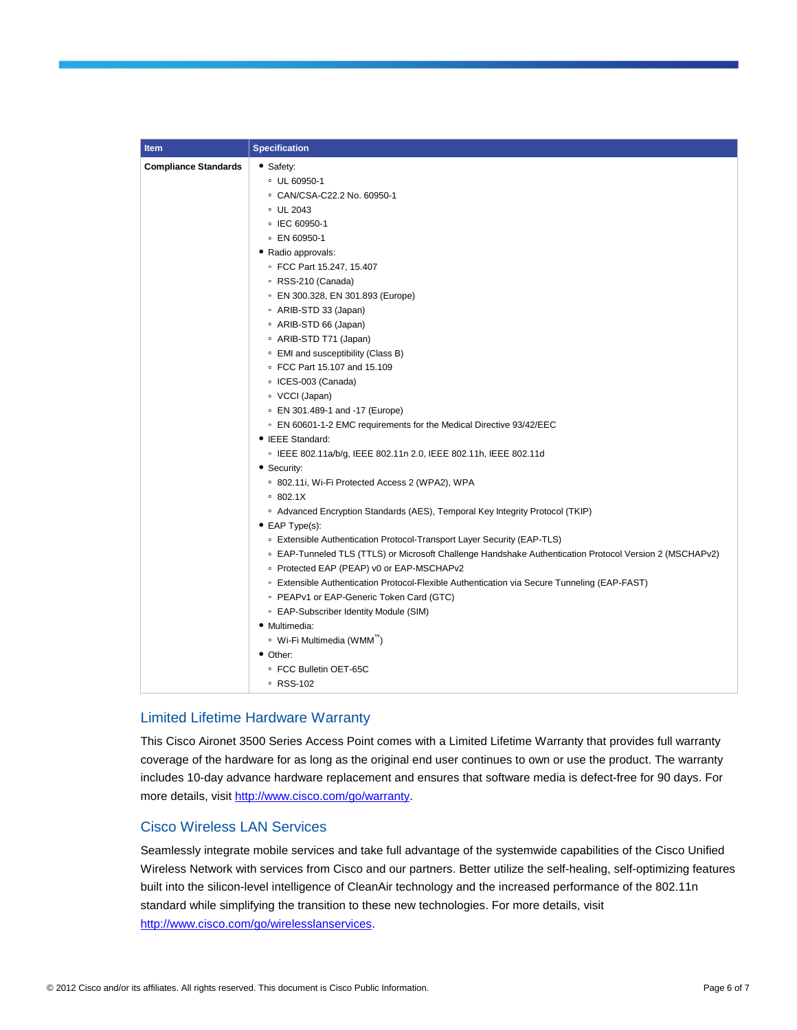| <b>Item</b>                 | <b>Specification</b>                                                                                               |
|-----------------------------|--------------------------------------------------------------------------------------------------------------------|
| <b>Compliance Standards</b> | • Safety:                                                                                                          |
|                             | UL 60950-1                                                                                                         |
|                             | ○ CAN/CSA-C22.2 No. 60950-1                                                                                        |
|                             | • UL 2043                                                                                                          |
|                             | © IEC 60950-1                                                                                                      |
|                             | ∘ EN 60950-1                                                                                                       |
|                             | • Radio approvals:                                                                                                 |
|                             | ● FCC Part 15.247, 15.407                                                                                          |
|                             | ● RSS-210 (Canada)                                                                                                 |
|                             | ● EN 300.328, EN 301.893 (Europe)                                                                                  |
|                             | • ARIB-STD 33 (Japan)                                                                                              |
|                             | • ARIB-STD 66 (Japan)                                                                                              |
|                             | • ARIB-STD T71 (Japan)                                                                                             |
|                             | • EMI and susceptibility (Class B)                                                                                 |
|                             | • FCC Part 15.107 and 15.109                                                                                       |
|                             | • ICES-003 (Canada)                                                                                                |
|                             | • VCCI (Japan)                                                                                                     |
|                             | • EN 301.489-1 and -17 (Europe)                                                                                    |
|                             | ○ EN 60601-1-2 EMC requirements for the Medical Directive 93/42/EEC                                                |
|                             | • IEEE Standard:                                                                                                   |
|                             | · IEEE 802.11a/b/g, IEEE 802.11n 2.0, IEEE 802.11h, IEEE 802.11d                                                   |
|                             | • Security:                                                                                                        |
|                             | <sup>o</sup> 802.11i, Wi-Fi Protected Access 2 (WPA2), WPA                                                         |
|                             | 0.802.1X                                                                                                           |
|                             | <sup>o</sup> Advanced Encryption Standards (AES), Temporal Key Integrity Protocol (TKIP)                           |
|                             | $\bullet$ EAP Type(s):                                                                                             |
|                             | <sup>o</sup> Extensible Authentication Protocol-Transport Layer Security (EAP-TLS)                                 |
|                             | <sup>o</sup> EAP-Tunneled TLS (TTLS) or Microsoft Challenge Handshake Authentication Protocol Version 2 (MSCHAPv2) |
|                             | • Protected EAP (PEAP) v0 or EAP-MSCHAPv2                                                                          |
|                             | ∘ Extensible Authentication Protocol-Flexible Authentication via Secure Tunneling (EAP-FAST)                       |
|                             | • PEAPv1 or EAP-Generic Token Card (GTC)                                                                           |
|                             | • EAP-Subscriber Identity Module (SIM)                                                                             |
|                             | • Multimedia:                                                                                                      |
|                             | • Wi-Fi Multimedia (WMM <sup>"</sup> )                                                                             |
|                             | • Other:                                                                                                           |
|                             | ● FCC Bulletin OET-65C                                                                                             |
|                             | ∘ RSS-102                                                                                                          |

## Limited Lifetime Hardware Warranty

This Cisco Aironet 3500 Series Access Point comes with a Limited Lifetime Warranty that provides full warranty coverage of the hardware for as long as the original end user continues to own or use the product. The warranty includes 10-day advance hardware replacement and ensures that software media is defect-free for 90 days. For more details, visit [http://www.cisco.com/go/warranty.](http://www.cisco.com/go/warranty)

## Cisco Wireless LAN Services

Seamlessly integrate mobile services and take full advantage of the systemwide capabilities of the Cisco Unified Wireless Network with services from Cisco and our partners. Better utilize the self-healing, self-optimizing features built into the silicon-level intelligence of CleanAir technology and the increased performance of the 802.11n standard while simplifying the transition to these new technologies. For more details, visit [http://www.cisco.com/go/wirelesslanservices.](http://www.cisco.com/go/wirelesslanservices)